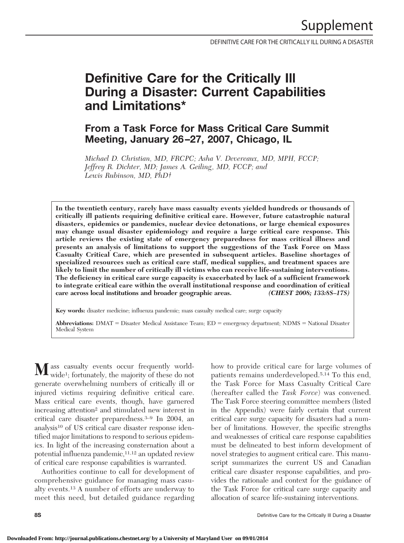DEFINITIVE CARE FOR THE CRITICALLY ILL DURING A DISASTER

# **Definitive Care for the Critically Ill During a Disaster: Current Capabilities and Limitations\***

## **From a Task Force for Mass Critical Care Summit Meeting, January 26 –27, 2007, Chicago, IL**

*Michael D. Christian, MD, FRCPC; Asha V. Devereaux, MD, MPH, FCCP; Jeffrey R. Dichter, MD; James A. Geiling, MD, FCCP; and Lewis Rubinson, MD, PhD†*

**In the twentieth century, rarely have mass casualty events yielded hundreds or thousands of critically ill patients requiring definitive critical care. However, future catastrophic natural disasters, epidemics or pandemics, nuclear device detonations, or large chemical exposures may change usual disaster epidemiology and require a large critical care response. This article reviews the existing state of emergency preparedness for mass critical illness and presents an analysis of limitations to support the suggestions of the Task Force on Mass Casualty Critical Care, which are presented in subsequent articles. Baseline shortages of specialized resources such as critical care staff, medical supplies, and treatment spaces are likely to limit the number of critically ill victims who can receive life-sustaining interventions. The deficiency in critical care surge capacity is exacerbated by lack of a sufficient framework to integrate critical care within the overall institutional response and coordination of critical care across local institutions and broader geographic areas.** *(CHEST 2008; 133:8S–17S)*

**Key words:** disaster medicine; influenza pandemic; mass casualty medical care; surge capacity

**Abbreviations:** DMAT = Disaster Medical Assistance Team; ED = emergency department; NDMS = National Disaster Medical System

**M** ass casualty events occur frequently world-<br>wide<sup>1</sup>; fortunately, the majority of these do not generate overwhelming numbers of critically ill or injured victims requiring definitive critical care. Mass critical care events, though, have garnered increasing attention2 and stimulated new interest in critical care disaster preparedness.3–9 In 2004, an analysis10 of US critical care disaster response identified major limitations to respond to serious epidemics. In light of the increasing consternation about a potential influenza pandemic,  $11,12$  an updated review of critical care response capabilities is warranted.

Authorities continue to call for development of comprehensive guidance for managing mass casualty events.13 A number of efforts are underway to meet this need, but detailed guidance regarding how to provide critical care for large volumes of patients remains underdeveloped.5,14 To this end, the Task Force for Mass Casualty Critical Care (hereafter called the *Task Force*) was convened. The Task Force steering committee members (listed in the Appendix) were fairly certain that current critical care surge capacity for disasters had a number of limitations. However, the specific strengths and weaknesses of critical care response capabilities must be delineated to best inform development of novel strategies to augment critical care. This manuscript summarizes the current US and Canadian critical care disaster response capabilities, and provides the rationale and context for the guidance of the Task Force for critical care surge capacity and allocation of scarce life-sustaining interventions.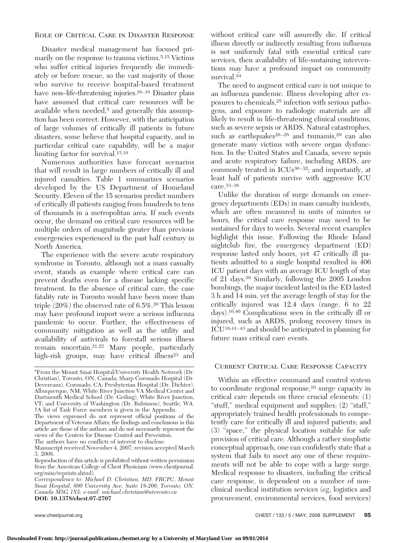#### Role of Critical Care in Disaster Response

Disaster medical management has focused primarily on the response to trauma victims.5,15 Victims who suffer critical injuries frequently die immediately or before rescue, so the vast majority of those who survive to receive hospital-based treatment have non–life-threatening injuries.<sup>16–18</sup> Disaster plans have assumed that critical care resources will be available when needed,<sup>5</sup> and generally this assumption has been correct. However, with the anticipation of large volumes of critically ill patients in future disasters, some believe that hospital capacity, and in particular critical care capability, will be a major limiting factor for survival.15,19

Numerous authorities have forecast scenarios that will result in large numbers of critically ill and injured casualties. Table 1 summarizes scenarios developed by the US Department of Homeland Security. Eleven of the 15 scenarios predict numbers of critically ill patients ranging from hundreds to tens of thousands in a metropolitan area. If such events occur, the demand on critical care resources will be multiple orders of magnitude greater than previous emergencies experienced in the past half century in North America.

The experience with the severe acute respiratory syndrome in Toronto, although not a mass casualty event, stands as example where critical care can prevent deaths even for a disease lacking specific treatment. In the absence of critical care, the case fatality rate in Toronto would have been more than triple  $(20\%)$  the observed rate of 6.5%.<sup>20</sup> This lesson may have profound import were a serious influenza pandemic to occur. Further, the effectiveness of community mitigation as well as the utility and availability of antivirals to forestall serious illness remain uncertain.21,22 Many people, particularly high-risk groups, may have critical illness<sup>23</sup> and

without critical care will assuredly die. If critical illness directly or indirectly resulting from influenza is not uniformly fatal with essential critical care services, then availability of life-sustaining interventions may have a profound impact on community survival.<sup>24</sup>

The need to augment critical care is not unique to an influenza pandemic. Illness developing after exposures to chemicals,25 infection with serious pathogens, and exposure to radiologic materials are all likely to result in life-threatening clinical conditions, such as severe sepsis or ARDS. Natural catastrophes, such as earthquakes $26-28$  and tsunamis,  $29$  can also generate many victims with severe organ dysfunction. In the United States and Canada, severe sepsis and acute respiratory failure, including ARDS, are commonly treated in ICUs<sup>30-32</sup>; and importantly, at least half of patients survive with aggressive ICU care.33–38

Unlike the duration of surge demands on emergency departments (EDs) in mass casualty incidents, which are often measured in units of minutes or hours, the critical care response may need to be sustained for days to weeks. Several recent examples highlight this issue. Following the Rhode Island nightclub fire, the emergency department (ED) response lasted only hours, yet 47 critically ill patients admitted to a single hospital resulted in 406 ICU patient days with an average ICU length of stay of 21 days.39 Similarly, following the 2005 London bombings, the major incident lasted in the ED lasted 3 h and 14 min, yet the average length of stay for the critically injured was 12.4 days (range, 6 to 22 days).16,40 Complications seen in the critically ill or injured, such as ARDS, prolong recovery times in ICU16,41–43 and should be anticipated in planning for future mass critical care events.

#### Current Critical Care Response Capacity

Within an effective command and control system to coordinate regional response, $10$  surge capacity in critical care depends on three crucial elements: (1) "stuff," medical equipment and supplies; (2) "staff," appropriately trained health professionals to competently care for critically ill and injured patients; and (3) "space," the physical location suitable for safe provision of critical care. Although a rather simplistic conceptual approach, one can confidently state that a system that fails to meet any one of these requirements will not be able to cope with a large surge. Medical response to disasters, including the critical care response, is dependent on a number of nonclinical medical institution services (*eg*, logistics and procurement, environmental services, food services)

<sup>\*</sup>From the Mount Sinai Hospital/University Health Network (Dr. Christian), Toronto, ON, Canada; Sharp Coronado Hospital (Dr. Devereaux), Coronado, CA; Presbyterian Hospital (Dr. Dichter), Albuquerque, NM; White River Junction VA Medical Center and Dartmouth Medical School (Dr. Geiling), White River Junction, VT; and University of Washington (Dr. Rubinson), Seattle, WA. †A list of Task Force members is given in the Appendix.

The views expressed do not represent official positions of the Department of Veterans Affairs; the findings and conclusions in this article are those of the authors and do not necessarily represent the views of the Centers for Disease Control and Prevention.

The authors have no conflicts of interest to disclose.

Manuscript received November 4, 2007; revision accepted March 3, 2008.

Reproduction of this article is prohibited without written permission from the American College of Chest Physicians (www.chestjournal. org/misc/reprints.shtml).

*Correspondence to: Michael D. Christian, MD, FRCPC, Mount Sinai Hospital, 600 University Ave, Suite 18-206, Toronto, ON, Canada M5G 1X5; e-mail: michael.christian@utoronto.ca* **DOI: 10.1378/chest.07-2707**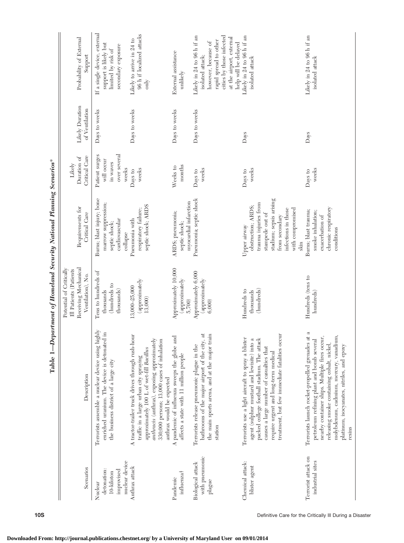| Scenarios                                                            | Description                                                                                                                                                                                                                                                                                                    | Receiving Mechanical<br>Potential of Critically<br>Ill Patients (Patients<br>Ventilation), No. | Requirements for<br>Critical Care                                                                                                                                             | Critical Care<br>Duration of<br>Likely                            | Likely Duration<br>of Ventilation | Probability of External<br>Support                                                                                                                                             |
|----------------------------------------------------------------------|----------------------------------------------------------------------------------------------------------------------------------------------------------------------------------------------------------------------------------------------------------------------------------------------------------------|------------------------------------------------------------------------------------------------|-------------------------------------------------------------------------------------------------------------------------------------------------------------------------------|-------------------------------------------------------------------|-----------------------------------|--------------------------------------------------------------------------------------------------------------------------------------------------------------------------------|
| nuclear device<br>detonation:<br>improvised<br>10-kiloton<br>Nuclear | highly<br>enriched uranium. The device is detonated in<br>Terrorists assemble a nuclear device using<br>the business district of a large city                                                                                                                                                                  | Tens to hundreds of<br>(hundreds to<br>thousands)<br>thousands                                 | Burns; blast injury; bone<br>marrow suppression;<br>cardiovascular<br>septic shock;<br>collapse                                                                               | Patient surges<br>over several<br>will occur<br>in waves<br>weeks | Days to weeks                     | If a single device, external<br>support is likely but<br>secondary exposure<br>limited by risk of                                                                              |
| Anthrax attack                                                       | A tractor-trailer truck drives through rush-hour<br>anthracis (anthrax), exposing approximately<br>330,000 persons; 13,000 cases of inhalation<br>approximately 100 L of wet-fill Bacillus<br>traffic in a large urban city spraying<br>anthrax would be expected                                              | (approximately<br>13,000-25,000<br>13,000)                                                     | septic shock; ARDS<br>respiratory failure;<br>Pneumonia with                                                                                                                  | weeks<br>Days to                                                  | Days to weeks                     | 96 h if localized attacks<br>Likely to arrive in 24 to<br>only                                                                                                                 |
| influenza <sup>†</sup><br>Pandemic                                   | A pandemic of influenza sweeps the globe and<br>affects a state with 11 million people                                                                                                                                                                                                                         | Approximately 10,000<br>(approximately<br>5,700)                                               | myocardial infarction<br>ARDS; pneumonia;<br>septic shock;                                                                                                                    | ${\rm months}$<br>Weeks to                                        | Days to weeks                     | External assistance<br>unlikely                                                                                                                                                |
| with pneumonic<br><b>Biological</b> attack<br>plague                 | bathrooms of the major airport of the city, at<br>the main sports arena, and at the major train<br>Terrorists release pneumonic plague in the<br>station                                                                                                                                                       | Approximately 6,000<br>(approximately<br>6,000                                                 | Pneumonia; septic shock                                                                                                                                                       | weeks<br>Days to                                                  | Days to weeks                     | cities by those infected<br>Likely in 24 to 96 h if an<br>at the airport, external<br>rapid spread to other<br>however, because of<br>help will be delayed<br>isolated attack; |
| Chemical attack:<br>blister agent                                    | treatment, but few immediate fatalities occur<br>ter<br>$\boldsymbol{\pi}$<br>packed college football stadium. The attack<br>Terrorists use a light aircraft to spray a blist<br>agent (sulphur mustard and lewisite) into<br>causes a large number of casualties that<br>require urgent and long-term medical | (hundreds)<br>Hundreds to<br>thousands                                                         | stadium; sepsis arising<br>trauma injuries from<br>obstruction; ARDS;<br>with compromised<br>infections in those<br>stampede out of<br>from secondary<br>Upper airway<br>skin | weeks<br>Days to                                                  | Days                              | Likely in 24 to 96 h if an<br>isolated attack                                                                                                                                  |
| Terrorist attack on<br>industrial sites                              | at a<br>molybdenum, cadmium, mercury, vanadium,<br>nearby container ships. Multiple fires occur,<br>petroleum refining plant and bomb several<br>Terrorists launch rocket-propelled grenades<br>releasing smoke containing cobalt, nickel,<br>platinum, isocyanates, nitriles, and epoxy<br>resins             | Hundreds (tens to<br>hundreds)                                                                 | chronic respiratory<br>Burns; blast trauma;<br>smoke inhalation;<br>exacerbation of<br>conditions                                                                             | weeks<br>Days to                                                  | Days                              | Likely in 24 to 96 h if an<br>isolated attack                                                                                                                                  |

Table 1-Department of Homeland Security National Planning Scenarios\* **Table 1—***Department of Homeland Security National Planning Scenarios*\*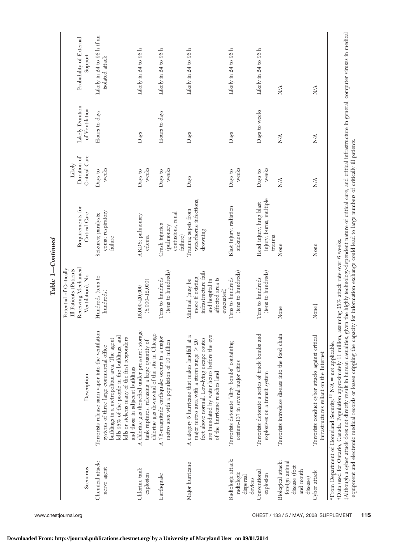|                                                                                |                                                                                                                                                                                                                                                                                                                                                                                                                                                                                                                                                                      | Potential of Critically<br>Ill Patients (Patients                                                                           |                                                                                | Likely                       |                                   |                                               |
|--------------------------------------------------------------------------------|----------------------------------------------------------------------------------------------------------------------------------------------------------------------------------------------------------------------------------------------------------------------------------------------------------------------------------------------------------------------------------------------------------------------------------------------------------------------------------------------------------------------------------------------------------------------|-----------------------------------------------------------------------------------------------------------------------------|--------------------------------------------------------------------------------|------------------------------|-----------------------------------|-----------------------------------------------|
| Scenarios                                                                      | Description                                                                                                                                                                                                                                                                                                                                                                                                                                                                                                                                                          | Receiving Mechanical<br>Ventilation), No.                                                                                   | Requirements for<br>Critical Care                                              | Critical Care<br>Duration of | Likely Duration<br>of Ventilation | Probability of External<br>Support            |
| Chemical attack:<br>nerve agent                                                | Terrorists release sarin vapor into the ventilation<br>and<br>kills or sickens many of the first responders<br>buildings in a metropolitan area. The agent<br>systems of three large commercial office<br>kills 95% of the people in the buildings,<br>and those in adjacent buildings                                                                                                                                                                                                                                                                               | Hundreds (tens to<br>hundreds)                                                                                              | coma; respiratory<br>Seizures; paralysis;<br>failure                           | weeks<br>Days to             | Hours to days                     | Likely in 24 to 96 h if an<br>isolated attack |
| Chlorine tank<br>explosion                                                     | A chlorine gas (liquefied under pressure) storage<br>$\tanh$ ruptures, releasing a large quantity of chlorine gas downwind of the site in Chicago                                                                                                                                                                                                                                                                                                                                                                                                                    | $(8,000 - 12,000)$<br>15,000-20,000                                                                                         | ARDS; pulmonary<br>edema                                                       | weeks<br>Days to             | $_{\mathrm{Days}}$                | Likely in 24 to 96 h                          |
| Earthquake                                                                     | A 7.5-magnitude earthquake occurs in a major<br>metro area with a population of 10 million                                                                                                                                                                                                                                                                                                                                                                                                                                                                           | (tens to hundreds)<br>Tens to hundreds                                                                                      | contusions, renal<br>Crush injuries<br>(pulmonary<br>$\operatorname{failure})$ | weeks<br>Days to             | Hours to days                     | Likely in 24 to 96 h                          |
| Major hurricane                                                                | at a<br>eye<br>feet above normal. Low-lying escape routes<br>$\Omega$<br>are inundated by water hours before the<br>A category 5 hurricane that makes landfall<br>major metro area with a storm surge $\geq$<br>of the hurricane reaches land                                                                                                                                                                                                                                                                                                                        | infrastructure fails<br>more if existing<br>affected area is<br>Minimal (may be<br>and hospital in<br>$\mathtt{evacuated})$ | waterborne infections;<br>Trauma; sepsis from<br>drowning                      | $_{\mathrm{Days}}$           | Days                              | Likely in 24 to 96 h                          |
| Radiologic attack:<br>radiologic<br>dispersal<br>devices                       | Terrorists detonate "dirty bombs" containing<br>cesium-137 in several major cities                                                                                                                                                                                                                                                                                                                                                                                                                                                                                   | (tens to hundreds)<br>Tens to hundreds                                                                                      | Blast injury; radiation<br>sickness                                            | weeks<br>Days to             | Days                              | Likely in 24 to 96 h                          |
| Conventional<br>explosion                                                      | $_{\mathrm{and}}$<br>Terrorists detonate a series of truck bombs<br>explosives on a transit system                                                                                                                                                                                                                                                                                                                                                                                                                                                                   | (tens to hundreds)<br>Tens to hundreds                                                                                      | injury; burns; multiple<br>Head injury; lung blast<br>trauma                   | weeks<br>Days to             | Days to weeks                     | Likely in 24 to 96 h                          |
| Biological attack:<br>foreign animal<br>disease (foot<br>and mouth<br>disease) | Terrorists introduce disease into the food chain                                                                                                                                                                                                                                                                                                                                                                                                                                                                                                                     | None                                                                                                                        | None                                                                           | $\sum_{i=1}^{n}$             | $\sum_{i=1}^{n}$                  | $\frac{\lambda}{\lambda}$                     |
| Cyber attack                                                                   | Terrorists conduct cyber attacks against critical<br>infrastructures reliant on the Internet                                                                                                                                                                                                                                                                                                                                                                                                                                                                         | None#                                                                                                                       | None                                                                           | $\sum_{i=1}^{n}$             | $\sum_{i=1}^{n}$                  | N/A                                           |
|                                                                                | #Although a cyber attack does not directly result in human casualties, given the highly technology-dependent nature of critical care, and critical infrastructure in general, computer viruses in medical<br>equipment and electronic medical records or losses crippling the capacity for information exchange could lead to large numbers of critically ill patients.<br>+Data used for Ontario, Canada. Population approximately 11 million, assuming 35% attack rate over 6 weeks.<br>*From Department of Homeland Security. <sup>13</sup> N/A = not applicable. |                                                                                                                             |                                                                                |                              |                                   |                                               |

Table 1-Continued **Table 1—***Continued*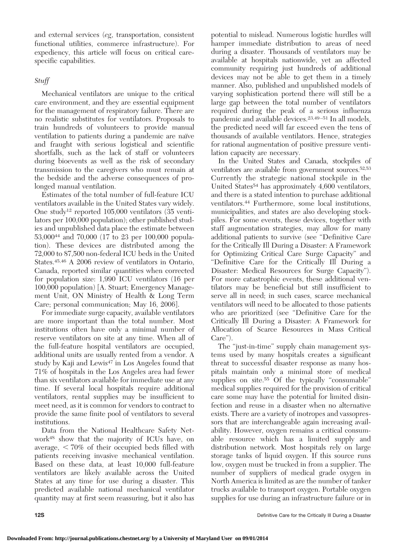and external services (*eg*, transportation, consistent functional utilities, commerce infrastructure). For expediency, this article will focus on critical carespecific capabilities.

## *Stuff*

Mechanical ventilators are unique to the critical care environment, and they are essential equipment for the management of respiratory failure. There are no realistic substitutes for ventilators. Proposals to train hundreds of volunteers to provide manual ventilation to patients during a pandemic are naïve and fraught with serious logistical and scientific shortfalls, such as the lack of staff or volunteers during bioevents as well as the risk of secondary transmission to the caregivers who must remain at the bedside and the adverse consequences of prolonged manual ventilation.

Estimates of the total number of full-feature ICU ventilators available in the United States vary widely. One study12 reported 105,000 ventilators (35 ventilators per 100,000 population); other published studies and unpublished data place the estimate between 53,00044 and 70,000 (17 to 23 per 100,000 population). These devices are distributed among the 72,000 to 87,500 non-federal ICU beds in the United States.45,46 A 2006 review of ventilators in Ontario, Canada, reported similar quantities when corrected for population size: 1,990 ICU ventilators (16 per 100,000 population) [A. Stuart; Emergency Management Unit, ON Ministry of Health & Long Term Care; personal communication; May 16, 2006].

For immediate surge capacity, available ventilators are more important than the total number. Most institutions often have only a minimal number of reserve ventilators on site at any time. When all of the full-feature hospital ventilators are occupied, additional units are usually rented from a vendor. A study by Kaji and Lewis<sup>47</sup> in Los Angeles found that 71% of hospitals in the Los Angeles area had fewer than six ventilators available for immediate use at any time. If several local hospitals require additional ventilators, rental supplies may be insufficient to meet need, as it is common for vendors to contract to provide the same finite pool of ventilators to several institutions.

Data from the National Healthcare Safety Network48 show that the majority of ICUs have, on average,  $\lt 70\%$  of their occupied beds filled with patients receiving invasive mechanical ventilation. Based on these data, at least 10,000 full-feature ventilators are likely available across the United States at any time for use during a disaster. This predicted available national mechanical ventilator quantity may at first seem reassuring, but it also has

potential to mislead. Numerous logistic hurdles will hamper immediate distribution to areas of need during a disaster. Thousands of ventilators may be available at hospitals nationwide, yet an affected community requiring just hundreds of additional devices may not be able to get them in a timely manner. Also, published and unpublished models of varying sophistication portend there will still be a large gap between the total number of ventilators required during the peak of a serious influenza pandemic and available devices.<sup>23,49-51</sup> In all models, the predicted need will far exceed even the tens of thousands of available ventilators. Hence, strategies for rational augmentation of positive pressure ventilation capacity are necessary.

In the United States and Canada, stockpiles of ventilators are available from government sources.52,53 Currently the strategic national stockpile in the United States<sup>54</sup> has approximately 4,600 ventilators, and there is a stated intention to purchase additional ventilators.44 Furthermore, some local institutions, municipalities, and states are also developing stockpiles. For some events, these devices, together with staff augmentation strategies, may allow for many additional patients to survive (see "Definitive Care for the Critically Ill During a Disaster: A Framework for Optimizing Critical Care Surge Capacity" and "Definitive Care for the Critically Ill During a Disaster: Medical Resources for Surge Capacity"). For more catastrophic events, these additional ventilators may be beneficial but still insufficient to serve all in need; in such cases, scarce mechanical ventilators will need to be allocated to those patients who are prioritized (see "Definitive Care for the Critically Ill During a Disaster: A Framework for Allocation of Scarce Resources in Mass Critical Care").

The "just-in-time" supply chain management systems used by many hospitals creates a significant threat to successful disaster response as many hospitals maintain only a minimal store of medical supplies on site.<sup>55</sup> Of the typically "consumable" medical supplies required for the provision of critical care some may have the potential for limited disinfection and reuse in a disaster when no alternative exists. There are a variety of inotropes and vassopressors that are interchangeable again increasing availability. However, oxygen remains a critical consumable resource which has a limited supply and distribution network. Most hospitals rely on large storage tanks of liquid oxygen. If this source runs low, oxygen must be trucked in from a supplier. The number of suppliers of medical grade oxygen in North America is limited as are the number of tanker trucks available to transport oxygen. Portable oxygen supplies for use during an infrastructure failure or in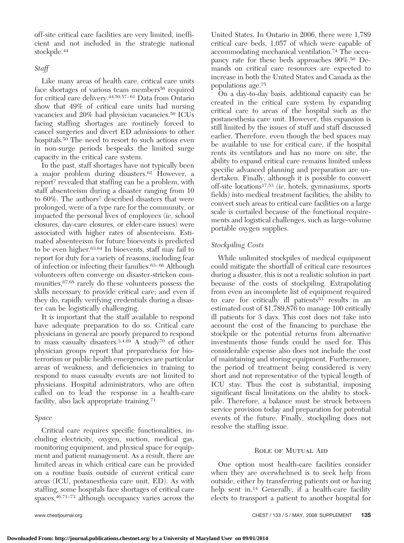off-site critical care facilities are very limited, inefficient and not included in the strategic national stockpile.44

### *Staff*

Like many areas of health care, critical care units face shortages of various team members<sup>56</sup> required for critical care delivery.44,50,57–61 Data from Ontario show that 49% of critical care units had nursing vacancies and 20% had physician vacancies.50 ICUs facing staffing shortages are routinely forced to cancel surgeries and divert ED admissions to other hospitals.<sup>50</sup> The need to resort to such actions even in non-surge periods bespeaks the limited surge capacity in the critical care system.

In the past, staff shortages have not typically been a major problem during disasters.62 However, a report7 revealed that staffing can be a problem, with staff absenteeism during a disaster ranging from 10 to 60%. The authors<sup>7</sup> described disasters that were prolonged, were of a type rare for the community, or impacted the personal lives of employees (*ie*, school closures, day-care closures, or elder-care issues) were associated with higher rates of absenteeism. Estimated absenteeism for future bioevents is predicted to be even higher.63,64 In bioevents, staff may fail to report for duty for a variety of reasons, including fear of infection or infecting their families.63–66 Although volunteers often converge on disaster-stricken communities,67,68 rarely do these volunteers possess the skills necessary to provide critical care; and even if they do, rapidly verifying credentials during a disaster can be logistically challenging.

It is important that the staff available to respond have adequate preparation to do so. Critical care physicians in general are poorly prepared to respond to mass casualty disasters.3,4,69 A study70 of other physician groups report that preparedness for bioterrorism or public health emergencies are particular areas of weakness, and deficiencies in training to respond to mass casualty events are not limited to physicians. Hospital administrators, who are often called on to lead the response in a health-care facility, also lack appropriate training.<sup>71</sup>

#### *Space*

Critical care requires specific functionalities, including electricity, oxygen, suction, medical gas, monitoring equipment, and physical space for equipment and patient management. As a result, there are limited areas in which critical care can be provided on a routine basis outside of current critical care areas (ICU, postanesthesia care unit, ED). As with staffing, some hospitals face shortages of critical care spaces,  $46,71-73$  although occupancy varies across the

United States. In Ontario in 2006, there were 1,789 critical care beds, 1,057 of which were capable of accommodating mechanical ventilation.74 The occupancy rate for these beds approaches 90%.50 Demands on critical care resources are expected to increase in both the United States and Canada as the populations age.75

On a day-to-day basis, additional capacity can be created in the critical care system by expanding critical care to areas of the hospital such as the postanesthesia care unit. However, this expansion is still limited by the issues of stuff and staff discussed earlier. Therefore, even though the bed spaces may be available to use for critical care, if the hospital rents its ventilators and has no more on site, the ability to expand critical care remains limited unless specific advanced planning and preparation are undertaken. Finally, although it is possible to convert off-site locations17,53 (*ie*, hotels, gymnasiums, sports fields) into medical treatment facilities, the ability to convert such areas to critical care facilities on a large scale is curtailed because of the functional requirements and logistical challenges, such as large-volume portable oxygen supplies.

## *Stockpiling Costs*

While unlimited stockpiles of medical equipment could mitigate the shortfall of critical care resources during a disaster, this is not a realistic solution in part because of the costs of stockpiling. Extrapolating from even an incomplete list of equipment required to care for critically ill patients<sup>53</sup> results in an estimated cost of \$1,789,876 to manage 100 critically ill patients for 3 days. This cost does not take into account the cost of the financing to purchase the stockpile or the potential returns from alternative investments those funds could be used for. This considerable expense also does not include the cost of maintaining and storing equipment. Furthermore, the period of treatment being considered is very short and not representative of the typical length of ICU stay. Thus the cost is substantial, imposing significant fiscal limitations on the ability to stockpile. Therefore, a balance must be struck between service provision today and preparation for potential events of the future. Finally, stockpiling does not resolve the staffing issue.

#### Role of Mutual Aid

One option most health-care facilities consider when they are overwhelmed is to seek help from outside, either by transferring patients out or having help sent in.<sup>14</sup> Generally, if a health-care facility elects to transport a patient to another hospital for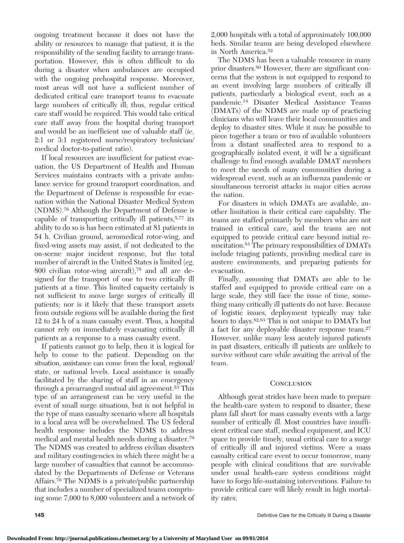ongoing treatment because it does not have the ability or resources to manage that patient, it is the responsibility of the sending facility to arrange transportation. However, this is often difficult to do during a disaster when ambulances are occupied with the ongoing prehospital response. Moreover, most areas will not have a sufficient number of dedicated critical care transport teams to evacuate large numbers of critically ill; thus, regular critical care staff would be required. This would take critical care staff away from the hospital during transport and would be an inefficient use of valuable staff (*ie*, 2:1 or 3:1 registered nurse/respiratory technician/ medical doctor-to-patient ratio).

If local resources are insufficient for patient evacuation, the US Department of Health and Human Services maintains contracts with a private ambulance service for ground transport coordination, and the Department of Defense is responsible for evacuation within the National Disaster Medical System (NDMS).76 Although the Department of Defense is capable of transporting critically ill patients,5,77 its ability to do so is has been estimated at 81 patients in 54 h. Civilian ground, aeromedical rotor-wing, and fixed-wing assets may assist, if not dedicated to the on-scene major incident response, but the total number of aircraft in the United States is limited (*eg*, 800 civilian rotor-wing aircraft),78 and all are designed for the transport of one to two critically ill patients at a time. This limited capacity certainly is not sufficient to move large surges of critically ill patients; nor is it likely that these transport assets from outside regions will be available during the first 12 to 24 h of a mass casualty event. Thus, a hospital cannot rely on immediately evacuating critically ill patients as a response to a mass casualty event.

If patients cannot go to help, then it is logical for help to come to the patient. Depending on the situation, assistance can come from the local, regional/ state, or national levels. Local assistance is usually facilitated by the sharing of staff in an emergency through a prearranged mutual aid agreement.53 This type of an arrangement can be very useful in the event of small surge situations, but is not helpful in the type of mass casualty scenario where all hospitals in a local area will be overwhelmed. The US federal health response includes the NDMS to address medical and mental health needs during a disaster.79 The NDMS was created to address civilian disasters and military contingencies in which there might be a large number of casualties that cannot be accommodated by the Departments of Defense or Veterans Affairs.76 The NDMS is a private/public partnership that includes a number of specialized teams comprising some 7,000 to 8,000 volunteers and a network of 2,000 hospitals with a total of approximately 100,000 beds. Similar teams are being developed elsewhere in North America.52

The NDMS has been a valuable resource in many prior disasters.80 However, there are significant concerns that the system is not equipped to respond to an event involving large numbers of critically ill patients, particularly a biological event, such as a pandemic.14 Disaster Medical Assistance Teams (DMATs) of the NDMS are made up of practicing clinicians who will leave their local communities and deploy to disaster sites. While it may be possible to piece together a team or two of available volunteers from a distant unaffected area to respond to a geographically isolated event, it will be a significant challenge to find enough available DMAT members to meet the needs of many communities during a widespread event, such as an influenza pandemic or simultaneous terrorist attacks in major cities across the nation.

For disasters in which DMATs are available, another limitation is their critical care capability. The teams are staffed primarily by members who are not trained in critical care, and the teams are not equipped to provide critical care beyond initial resuscitation.<sup>81</sup> The primary responsibilities of DMATs include triaging patients, providing medical care in austere environments, and preparing patients for evacuation.

Finally, assuming that DMATs are able to be staffed and equipped to provide critical care on a large scale, they still face the issue of time, something many critically ill patients do not have. Because of logistic issues, deployment typically may take hours to days.82,83 This is not unique to DMATs but a fact for any deployable disaster response team.27 However, unlike many less acutely injured patients in past disasters, critically ill patients are unlikely to survive without care while awaiting the arrival of the team.

#### **CONCLUSION**

Although great strides have been made to prepare the health-care system to respond to disaster, these plans fall short for mass casualty events with a large number of critically ill. Most countries have insufficient critical care staff, medical equipment, and ICU space to provide timely, usual critical care to a surge of critically ill and injured victims. Were a mass casualty critical care event to occur tomorrow, many people with clinical conditions that are survivable under usual health-care system conditions might have to forgo life-sustaining interventions. Failure to provide critical care will likely result in high mortality rates.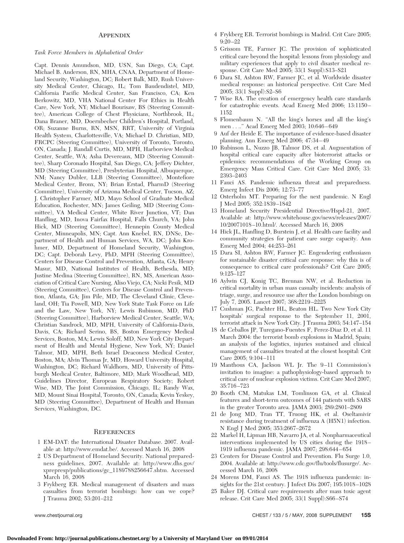#### **APPENDIX**

#### *Task Force Members in Alphabetical Order*

Capt. Dennis Amundson, MD, USN, San Diego, CA; Capt. Michael B. Anderson, RN, MHA, CNAA, Department of Homeland Security, Washington, DC; Robert Balk, MD, Rush University Medical Center, Chicago, IL; Tom Baudendistel, MD, California Pacific Medical Center, San Francisco, CA; Ken Berkowitz, MD, VHA National Center For Ethics in Health Care, New York, NY; Michael Bourisaw, BS (Steering Committee), American College of Chest Physicians, Northbrook, IL; Dana Braner, MD, Doernbecher Children's Hospital, Portland, OR; Suzanne Burns, RN, MSN, RRT, University of Virginia Health System, Charlottesville, VA; Michael D. Christian, MD, FRCPC (Steering Committee), University of Toronto, Toronto, ON, Canada; J. Randall Curtis, MD, MPH, Harborview Medical Center, Seattle, WA; Asha Devereaux, MD (Steering Committee), Sharp Coronado Hospital, San Diego, CA; Jeffery Dichter, MD (Steering Committee), Presbyterian Hospital, Albuquerque, NM; Nancy Dubler, LLB (Steering Committee), Montefiore Medical Center, Bronx, NY; Brian Erstad, PharmD (Steering Committee), University of Arizona Medical Center, Tucson, AZ; J. Christopher Farmer, MD, Mayo School of Graduate Medical Education, Rochester, MN; James Geiling, MD (Steering Committee), VA Medical Center, White River Junction, VT; Dan Hanfling, MD, Inova Fairfax Hospital, Falls Church, VA; John Hick, MD (Steering Committee), Hennepin County Medical Center, Minneapolis, MN; Capt. Ann Knebel, RN, DNSc, Department of Health and Human Services, WA, DC; John Krohmer, MD, Department of Homeland Security, Washington, DC; Capt. Deborah Levy, PhD, MPH (Steering Committee), Centers for Disease Control and Prevention, Atlanta, GA; Henry Masur, MD, National Institutes of Health, Bethesda, MD; Justine Medina (Steering Committee), RN, MS, American Association of Critical Care Nursing, Aliso Viejo, CA; Nicki Pesik, MD (Steering Committee), Centers for Disease Control and Prevention, Atlanta, GA; Jim Pile, MD, The Cleveland Clinic, Cleveland, OH; Tia Powell, MD, New York State Task Force on Life and the Law, New York, NY; Lewis Rubinson, MD, PhD (Steering Committee), Harborview Medical Center, Seattle, WA; Christian Sandrock, MD, MPH, University of California-Davis, Davis, CA; Richard Serino, BS, Boston Emergency Medical Services, Boston, MA; Lewis Soloff, MD, New York City Department of Health and Mental Hygiene, New York, NY; Daniel Talmor, MD, MPH, Beth Israel Deaconess Medical Center, Boston, MA; Alvin Thomas Jr, MD, Howard University Hospital, Washington, DC; Richard Waldhorn, MD, University of Pittsburgh Medical Center, Baltimore, MD; Mark Woodhead, MD, Guidelines Director, European Respiratory Society; Robert Wise, MD, The Joint Commission, Chicago, IL; Randy Wax, MD, Mount Sinai Hospital, Toronto, ON, Canada; Kevin Yeskey, MD (Steering Committee), Department of Health and Human Services, Washington, DC.

#### **REFERENCES**

- 1 EM-DAT: the International Disaster Database. 2007. Available at: http://www.emdat.be/. Accessed March 16, 2008
- 2 US Department of Homeland Security. National preparedness guidelines, 2007. Available at: http://www.dhs.gov/ xprepresp/publications/gc\_1189788256647.shtm. Accessed March 16, 2008
- 3 Frykberg ER. Medical management of disasters and mass casualties from terrorist bombings: how can we cope? J Trauma 2002; 53:201–212

- 4 Frykberg ER. Terrorist bombings in Madrid. Crit Care 2005;  $9.20 - 22$
- 5 Grissom TE, Farmer JC. The provision of sophisticated critical care beyond the hospital: lessons from physiology and military experiences that apply to civil disaster medical response. Crit Care Med 2005; 33(1 Suppl):S13–S21
- 6 Dara SI, Ashton RW, Farmer JC, et al. Worldwide disaster medical response: an historical perspective. Crit Care Med 2005; 33(1 Suppl):S2–S6
- 7 Wise RA. The creation of emergency health care standards for catastrophic events. Acad Emerg Med 2006; 13:1150– 1152
- 8 Flomenbaum N. "All the king's horses and all the king's men . . .." Acad Emerg Med 2003; 10:646–649
- 9 Auf der Heide E. The importance of evidence-based disaster planning. Ann Emerg Med 2006; 47:34–49
- 10 Rubinson L, Nuzzo JB, Talmor DS, et al. Augmentation of hospital critical care capacity after bioterrorist attacks or epidemics: recommendations of the Working Group on Emergency Mass Critical Care. Crit Care Med 2005; 33: 2393–2403
- 11 Fauci AS. Pandemic influenza threat and preparedness. Emerg Infect Dis 2006; 12:73–77
- 12 Osterholm MT. Preparing for the next pandemic. N Engl J Med 2005; 352:1839–1842
- 13 Homeland Security Presidential Directive/Hspd-21, 2007. Available at: http://www.whitehouse.gov/news/releases/2007/ 10/20071018–10.html/. Accessed March 16, 2008
- 14 Hick JL, Hanfling D, Burstein J, et al. Health care facility and community strategies for patient care surge capacity. Ann Emerg Med 2004; 44:253–261
- 15 Dara SI, Ashton RW, Farmer JC. Engendering enthusiasm for sustainable disaster critical care response: why this is of consequence to critical care professionals? Crit Care 2005; 9:125–127
- 16 Aylwin CJ, Konig TC, Brennan NW, et al. Reduction in critical mortality in urban mass casualty incidents: analysis of triage, surge, and resource use after the London bombings on July 7, 2005. Lancet 2007; 368:2219–2225
- 17 Cushman JG, Pachter HL, Beaton HL. Two New York City hospitals' surgical response to the September 11, 2001, terrorist attack in New York City. J Trauma 2003; 54:147–154
- 18 de Ceballos JP, Turegano-Fuentes F, Perez-Diaz D, et al. 11 March 2004: the terrorist bomb explosions in Madrid, Spain; an analysis of the logistics, injuries sustained and clinical management of casualties treated at the closest hospital: Crit Care 2005; 9:104–111
- 19 Manthous CA, Jackson WL Jr. The 9–11 Commission's invitation to imagine: a pathophysiology-based approach to critical care of nuclear explosion victims. Crit Care Med 2007; 35:716–723
- 20 Booth CM, Matukas LM, Tomlinson GA, et al. Clinical features and short-term outcomes of 144 patients with SARS in the greater Toronto area. JAMA 2003; 289:2801–2809
- 21 de Jong MD, Tran TT, Truong HK, et al. Oseltamivir resistance during treatment of influenza A (H5N1) infection. N Engl J Med 2005; 353:2667–2672
- 22 Markel H, Lipman HB, Navarro JA, et al. Nonpharmaceutical interventions implemented by US cities during the 1918– 1919 influenza pandemic. JAMA 2007; 298:644–654
- 23 Centers for Disease Control and Prevention. Flu Surge 1.0, 2004. Available at: http://www.cdc.gov/flu/tools/flusurge/. Accessed March 16, 2008
- 24 Morens DM, Fauci AS. The 1918 influenza pandemic: insights for the 21st century. J Infect Dis 2007; 195:1018–1028
- 25 Baker DJ. Critical care requirements after mass toxic agent release. Crit Care Med 2005; 33(1 Suppl):S66–S74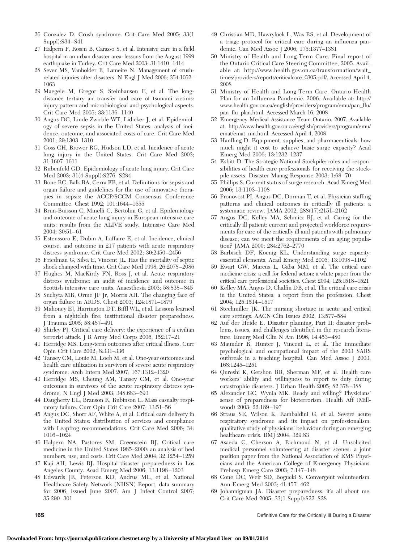- 26 Gonzalez D. Crush syndrome. Crit Care Med 2005; 33(1 Suppl):S34–S41
- 27 Halpern P, Rosen B, Carasso S, et al. Intensive care in a field hospital in an urban disaster area: lessons from the August 1999 earthquake in Turkey. Crit Care Med 2003; 31:1410–1414
- 28 Sever MS, Vanholder R, Lameire N. Management of crushrelated injuries after disasters. N Engl J Med 2006; 354:1052– 1063
- 29 Maegele M, Gregor S, Steinhausen E, et al. The longdistance tertiary air transfer and care of tsunami victims: injury pattern and microbiological and psychological aspects. Crit Care Med 2005; 33:1136–1140
- 30 Angus DC, Linde-Zwirble WT, Lidicker J, et al. Epidemiology of severe sepsis in the United States: analysis of incidence, outcome, and associated costs of care. Crit Care Med 2001; 29:1303–1310
- 31 Goss CH, Brower RG, Hudson LD, et al. Incidence of acute lung injury in the United States. Crit Care Med 2003; 31:1607–1611
- 32 Rubenfeld GD. Epidemiology of acute lung injury. Crit Care Med 2003; 31(4 Suppl):S276–S284
- 33 Bone RC, Balk RA, Cerra FB, et al. Definitions for sepsis and organ failure and guidelines for the use of innovative therapies in sepsis: the ACCP/SCCM Consensus Conference Committee. Chest 1992; 101:1644–1655
- 34 Brun-Buisson C, Minelli C, Bertolini G, et al. Epidemiology and outcome of acute lung injury in European intensive care units: results from the ALIVE study. Intensive Care Med 2004; 30:51–61
- 35 Estenssoro E, Dubin A, Laffaire E, et al. Incidence, clinical course, and outcome in 217 patients with acute respiratory distress syndrome. Crit Care Med 2002; 30:2450–2456
- 36 Friedman G, Silva E, Vincent JL. Has the mortality of septic shock changed with time. Crit Care Med 1998; 26:2078–2086
- 37 Hughes M, MacKirdy FN, Ross J, et al. Acute respiratory distress syndrome: an audit of incidence and outcome in Scottish intensive care units. Anaesthesia 2003; 58:838–845
- 38 Suchyta MR, Orme JF Jr, Morris AH. The changing face of organ failure in ARDS. Chest 2003; 124:1871–1879
- 39 Mahoney EJ, Harrington DT, Biffl WL, et al. Lessons learned from a nightclub fire: institutional disaster preparedness. J Trauma 2005; 58:487–491
- 40 Shirley PJ. Critical care delivery: the experience of a civilian terrorist attack. J R Army Med Corps 2006; 152:17–21
- 41 Herridge MS. Long-term outcomes after critical illness. Curr Opin Crit Care 2002; 8:331–336
- 42 Tansey CM, Louie M, Loeb M, et al. One-year outcomes and health care utilization in survivors of severe acute respiratory syndrome. Arch Intern Med 2007; 167:1312–1320
- 43 Herridge MS, Cheung AM, Tansey CM, et al. One-year outcomes in survivors of the acute respiratory distress syndrome. N Engl J Med 2003; 348:683–693
- 44 Daugherty EL, Branson R, Rubinson L. Mass casualty respiratory failure. Curr Opin Crit Care 2007; 13:51–56
- 45 Angus DC, Shorr AF, White A, et al. Critical care delivery in the United States: distribution of services and compliance with Leapfrog recommendations. Crit Care Med 2006; 34: 1016–1024
- 46 Halpern NA, Pastores SM, Greenstein RJ. Critical care medicine in the United States 1985–2000: an analysis of bed numbers, use, and costs. Crit Care Med 2004; 32:1254–1259
- 47 Kaji AH, Lewis RJ. Hospital disaster preparedness in Los Angeles County. Acad Emerg Med 2006; 13:1198–1203
- 48 Edwards JR, Peterson KD, Andrus ML, et al. National Healthcare Safety Network (NHSN) Report, data summary for 2006, issued June 2007. Am J Infect Control 2007; 35:290–301
- 49 Christian MD, Hawryluck L, Wax RS, et al. Development of a triage protocol for critical care during an influenza pandemic. Can Med Assoc J 2006; 175:1377–1381
- 50 Ministry of Health and Long-Term Care. Final report of the Ontario Critical Care Steering Committee, 2005. Available at: http://www.health.gov.on.ca/transformation/wait\_ times/providers/reports/criticalcare\_0305.pdf/. Accessed April 4, 2008
- 51 Ministry of Health and Long-Term Care. Ontario Health Plan for an Influenza Pandemic. 2006. Available at: http:// www.health.gov.on.ca/english/providers/program/emu/pan\_flu/ pan\_flu\_plan.html. Accessed March 16, 2008
- 52 Emergency Medical Assistance Team-Ontario. 2007. Available at: http://www.health.gov.on.ca/english/providers/program/emu/ emat/emat\_mn.html. Accessed April 4, 2008
- 53 Hanfling D. Equipment, supplies, and pharmaceuticals: how much might it cost to achieve basic surge capacity? Acad Emerg Med 2006; 13:1232–1237
- 54 Esbitt D. The Strategic National Stockpile: roles and responsibilities of health care professionals for receiving the stockpile assets. Disaster Manag Response 2003; 1:68–70
- 55 Phillips S. Current status of surge research. Acad Emerg Med 2006; 13:1103–1108
- 56 Pronovost PJ, Angus DC, Dorman T, et al. Physician staffing patterns and clinical outcomes in critically ill patients: a systematic review. JAMA 2002; 288(17):2151–2162
- 57 Angus DC, Kelley MA, Schmitz RJ, et al. Caring for the critically ill patient: current and projected workforce requirements for care of the critically ill and patients with pulmonary disease; can we meet the requirements of an aging population? JAMA 2000; 284:2762–2770
- 58 Barbisch DF, Koenig KL. Understanding surge capacity: essential elements. Acad Emerg Med 2006; 13:1098–1102
- 59 Ewart GW, Marcus L, Gaba MM, et al. The critical care medicine crisis: a call for federal action: a white paper from the critical care professional societies. Chest 2004; 125:1518–1521
- 60 Kelley MA, Angus D, Chalfin DB, et al. The critical care crisis in the United States: a report from the profession. Chest 2004; 125:1514–1517
- 61 Stechmiller JK. The nursing shortage in acute and critical care settings. AACN Clin Issues 2002; 13:577–584
- 62 Auf der Heide E. Disaster planning, Part II: disaster problems, issues, and challenges identified in the research literature. Emerg Med Clin N Am 1996; 14:453–480
- 63 Maunder R, Hunter J, Vincent L, et al. The immediate psychological and occupational impact of the 2003 SARS outbreak in a teaching hospital. Can Med Assoc J 2003; 168:1245–1251
- 64 Qureshi K, Gershon RR, Sherman MF, et al. Health care workers' ability and willingness to report to duty during catastrophic disasters. J Urban Health 2005; 82:378–388
- 65 Alexander GC, Wynia MK. Ready and willing? Physicians' sense of preparedness for bioterrorism. Health Aff (Millwood) 2003; 22:189–197
- 66 Straus SE, Wilson K, Rambaldini G, et al. Severe acute respiratory syndrome and its impact on professionalism: qualitative study of physicians' behaviour during an emerging healthcare crisis. BMJ 2004; 329:83
- 67 Asaeda G, Cherson A, Richmond N, et al. Unsolicited medical personnel volunteering at disaster scenes: a joint position paper from the National Association of EMS Physicians and the American College of Emergency Physicians. Prehosp Emerg Care 2003; 7:147–148
- 68 Cone DC, Weir SD, Bogucki S. Convergent volunteerism. Ann Emerg Med 2003; 41:457–462
- 69 Johannigman JA. Disaster preparedness: it's all about me. Crit Care Med 2005; 33(1 Suppl):S22–S28